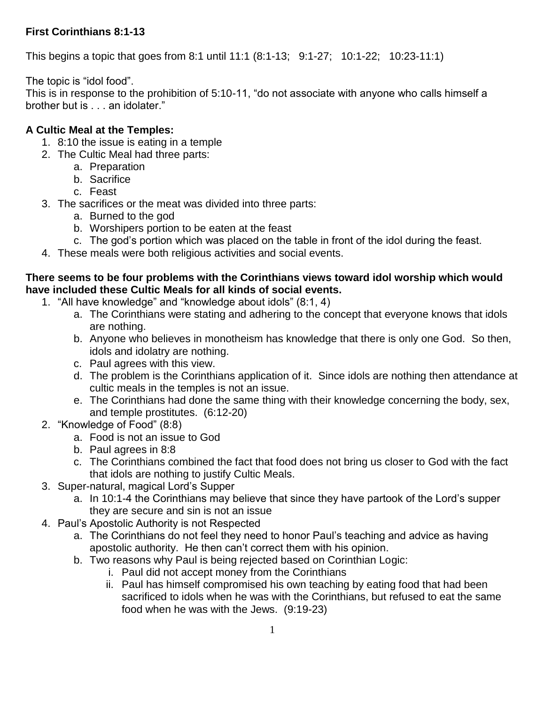# **First Corinthians 8:1-13**

This begins a topic that goes from 8:1 until 11:1 (8:1-13; 9:1-27; 10:1-22; 10:23-11:1)

The topic is "idol food".

This is in response to the prohibition of 5:10-11, "do not associate with anyone who calls himself a brother but is . . . an idolater."

# **A Cultic Meal at the Temples:**

- 1. 8:10 the issue is eating in a temple
- 2. The Cultic Meal had three parts:
	- a. Preparation
	- b. Sacrifice
	- c. Feast
- 3. The sacrifices or the meat was divided into three parts:
	- a. Burned to the god
	- b. Worshipers portion to be eaten at the feast
	- c. The god's portion which was placed on the table in front of the idol during the feast.
- 4. These meals were both religious activities and social events.

## **There seems to be four problems with the Corinthians views toward idol worship which would have included these Cultic Meals for all kinds of social events.**

- 1. "All have knowledge" and "knowledge about idols" (8:1, 4)
	- a. The Corinthians were stating and adhering to the concept that everyone knows that idols are nothing.
	- b. Anyone who believes in monotheism has knowledge that there is only one God. So then, idols and idolatry are nothing.
	- c. Paul agrees with this view.
	- d. The problem is the Corinthians application of it. Since idols are nothing then attendance at cultic meals in the temples is not an issue.
	- e. The Corinthians had done the same thing with their knowledge concerning the body, sex, and temple prostitutes. (6:12-20)
- 2. "Knowledge of Food" (8:8)
	- a. Food is not an issue to God
	- b. Paul agrees in 8:8
	- c. The Corinthians combined the fact that food does not bring us closer to God with the fact that idols are nothing to justify Cultic Meals.
- 3. Super-natural, magical Lord's Supper
	- a. In 10:1-4 the Corinthians may believe that since they have partook of the Lord's supper they are secure and sin is not an issue
- 4. Paul's Apostolic Authority is not Respected
	- a. The Corinthians do not feel they need to honor Paul's teaching and advice as having apostolic authority. He then can't correct them with his opinion.
	- b. Two reasons why Paul is being rejected based on Corinthian Logic:
		- i. Paul did not accept money from the Corinthians
		- ii. Paul has himself compromised his own teaching by eating food that had been sacrificed to idols when he was with the Corinthians, but refused to eat the same food when he was with the Jews. (9:19-23)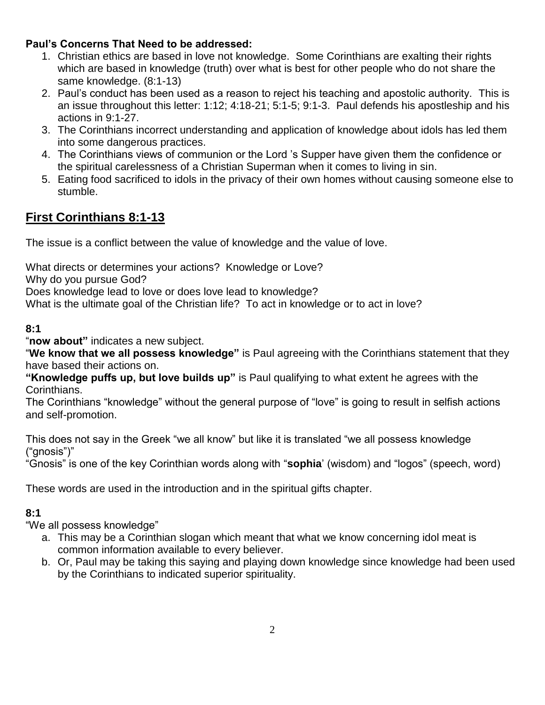# **Paul's Concerns That Need to be addressed:**

- 1. Christian ethics are based in love not knowledge. Some Corinthians are exalting their rights which are based in knowledge (truth) over what is best for other people who do not share the same knowledge. (8:1-13)
- 2. Paul's conduct has been used as a reason to reject his teaching and apostolic authority. This is an issue throughout this letter: 1:12; 4:18-21; 5:1-5; 9:1-3. Paul defends his apostleship and his actions in 9:1-27.
- 3. The Corinthians incorrect understanding and application of knowledge about idols has led them into some dangerous practices.
- 4. The Corinthians views of communion or the Lord 's Supper have given them the confidence or the spiritual carelessness of a Christian Superman when it comes to living in sin.
- 5. Eating food sacrificed to idols in the privacy of their own homes without causing someone else to stumble.

# **First Corinthians 8:1-13**

The issue is a conflict between the value of knowledge and the value of love.

What directs or determines your actions? Knowledge or Love?

Why do you pursue God?

Does knowledge lead to love or does love lead to knowledge?

What is the ultimate goal of the Christian life? To act in knowledge or to act in love?

#### **8:1**

"**now about"** indicates a new subject.

"**We know that we all possess knowledge"** is Paul agreeing with the Corinthians statement that they have based their actions on.

**"Knowledge puffs up, but love builds up"** is Paul qualifying to what extent he agrees with the Corinthians.

The Corinthians "knowledge" without the general purpose of "love" is going to result in selfish actions and self-promotion.

This does not say in the Greek "we all know" but like it is translated "we all possess knowledge ("gnosis")"

"Gnosis" is one of the key Corinthian words along with "**sophia**' (wisdom) and "logos" (speech, word)

These words are used in the introduction and in the spiritual gifts chapter.

## **8:1**

"We all possess knowledge"

- a. This may be a Corinthian slogan which meant that what we know concerning idol meat is common information available to every believer.
- b. Or, Paul may be taking this saying and playing down knowledge since knowledge had been used by the Corinthians to indicated superior spirituality.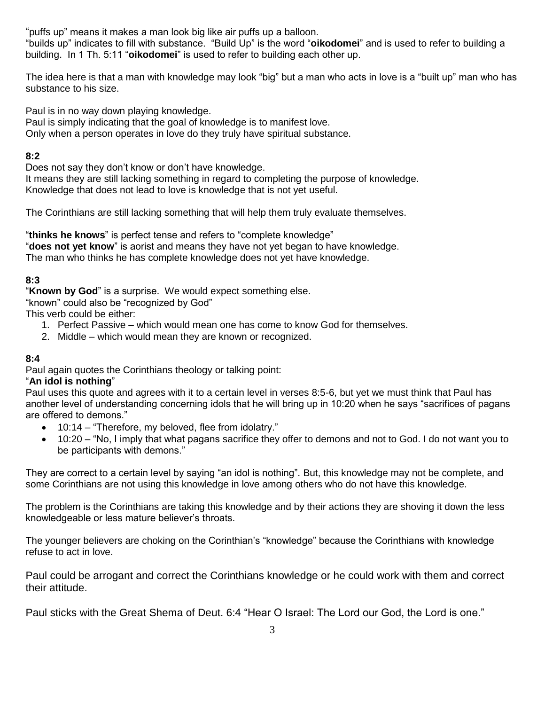"puffs up" means it makes a man look big like air puffs up a balloon.

"builds up" indicates to fill with substance. "Build Up" is the word "**oikodomei**" and is used to refer to building a building. In 1 Th. 5:11 "**oikodomei**" is used to refer to building each other up.

The idea here is that a man with knowledge may look "big" but a man who acts in love is a "built up" man who has substance to his size.

Paul is in no way down playing knowledge.

Paul is simply indicating that the goal of knowledge is to manifest love. Only when a person operates in love do they truly have spiritual substance.

### **8:2**

Does not say they don't know or don't have knowledge.

It means they are still lacking something in regard to completing the purpose of knowledge. Knowledge that does not lead to love is knowledge that is not yet useful.

The Corinthians are still lacking something that will help them truly evaluate themselves.

"**thinks he knows**" is perfect tense and refers to "complete knowledge" "**does not yet know**" is aorist and means they have not yet began to have knowledge. The man who thinks he has complete knowledge does not yet have knowledge.

## **8:3**

"**Known by God**" is a surprise. We would expect something else.

"known" could also be "recognized by God"

This verb could be either:

- 1. Perfect Passive which would mean one has come to know God for themselves.
- 2. Middle which would mean they are known or recognized.

#### **8:4**

Paul again quotes the Corinthians theology or talking point:

#### "**An idol is nothing**"

Paul uses this quote and agrees with it to a certain level in verses 8:5-6, but yet we must think that Paul has another level of understanding concerning idols that he will bring up in 10:20 when he says "sacrifices of pagans are offered to demons."

- 10:14 "Therefore, my beloved, flee from idolatry."
- 10:20 "No, I imply that what pagans sacrifice they offer to demons and not to God. I do not want you to be participants with demons."

They are correct to a certain level by saying "an idol is nothing". But, this knowledge may not be complete, and some Corinthians are not using this knowledge in love among others who do not have this knowledge.

The problem is the Corinthians are taking this knowledge and by their actions they are shoving it down the less knowledgeable or less mature believer's throats.

The younger believers are choking on the Corinthian's "knowledge" because the Corinthians with knowledge refuse to act in love.

Paul could be arrogant and correct the Corinthians knowledge or he could work with them and correct their attitude.

Paul sticks with the Great Shema of Deut. 6:4 "Hear O Israel: The Lord our God, the Lord is one."